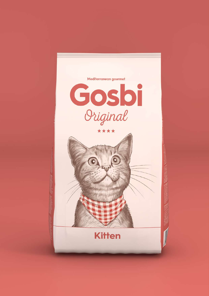